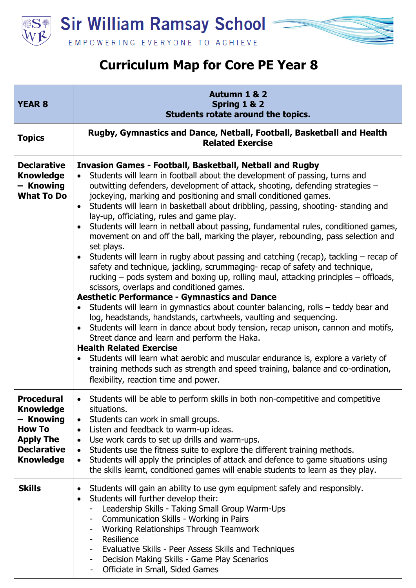



| <b>YEAR 8</b>                                                                                                                     | Autumn 1 & 2<br>Spring 1 & 2<br>Students rotate around the topics.                                                                                                                                                                                                                                                                                                                                                                                                                                                                                                                                                                                                                                                                                                                                                                                                                                                                                                                                                                                                                                                                                                                                                                                                                                                                                                                                                                                                                                                                                                                                       |
|-----------------------------------------------------------------------------------------------------------------------------------|----------------------------------------------------------------------------------------------------------------------------------------------------------------------------------------------------------------------------------------------------------------------------------------------------------------------------------------------------------------------------------------------------------------------------------------------------------------------------------------------------------------------------------------------------------------------------------------------------------------------------------------------------------------------------------------------------------------------------------------------------------------------------------------------------------------------------------------------------------------------------------------------------------------------------------------------------------------------------------------------------------------------------------------------------------------------------------------------------------------------------------------------------------------------------------------------------------------------------------------------------------------------------------------------------------------------------------------------------------------------------------------------------------------------------------------------------------------------------------------------------------------------------------------------------------------------------------------------------------|
| <b>Topics</b>                                                                                                                     | Rugby, Gymnastics and Dance, Netball, Football, Basketball and Health<br><b>Related Exercise</b>                                                                                                                                                                                                                                                                                                                                                                                                                                                                                                                                                                                                                                                                                                                                                                                                                                                                                                                                                                                                                                                                                                                                                                                                                                                                                                                                                                                                                                                                                                         |
| <b>Declarative</b><br><b>Knowledge</b><br>- Knowing<br><b>What To Do</b>                                                          | <b>Invasion Games - Football, Basketball, Netball and Rugby</b><br>Students will learn in football about the development of passing, turns and<br>$\bullet$<br>outwitting defenders, development of attack, shooting, defending strategies -<br>jockeying, marking and positioning and small conditioned games.<br>Students will learn in basketball about dribbling, passing, shooting- standing and<br>$\bullet$<br>lay-up, officiating, rules and game play.<br>Students will learn in netball about passing, fundamental rules, conditioned games,<br>$\bullet$<br>movement on and off the ball, marking the player, rebounding, pass selection and<br>set plays.<br>Students will learn in rugby about passing and catching (recap), tackling $-$ recap of<br>safety and technique, jackling, scrummaging- recap of safety and technique,<br>rucking – pods system and boxing up, rolling maul, attacking principles – offloads,<br>scissors, overlaps and conditioned games.<br><b>Aesthetic Performance - Gymnastics and Dance</b><br>Students will learn in gymnastics about counter balancing, rolls – teddy bear and<br>log, headstands, handstands, cartwheels, vaulting and sequencing.<br>Students will learn in dance about body tension, recap unison, cannon and motifs,<br>$\bullet$<br>Street dance and learn and perform the Haka.<br><b>Health Related Exercise</b><br>Students will learn what aerobic and muscular endurance is, explore a variety of<br>training methods such as strength and speed training, balance and co-ordination,<br>flexibility, reaction time and power. |
| <b>Procedural</b><br><b>Knowledge</b><br>- Knowing<br><b>How To</b><br><b>Apply The</b><br><b>Declarative</b><br><b>Knowledge</b> | Students will be able to perform skills in both non-competitive and competitive<br>situations.<br>Students can work in small groups.<br>$\bullet$<br>Listen and feedback to warm-up ideas.<br>$\bullet$<br>Use work cards to set up drills and warm-ups.<br>$\bullet$<br>Students use the fitness suite to explore the different training methods.<br>$\bullet$<br>Students will apply the principles of attack and defence to game situations using<br>$\bullet$<br>the skills learnt, conditioned games will enable students to learn as they play.                                                                                                                                                                                                                                                                                                                                                                                                                                                                                                                                                                                                                                                                                                                                                                                                                                                                                                                                                                                                                                                    |
| <b>Skills</b>                                                                                                                     | Students will gain an ability to use gym equipment safely and responsibly.<br>$\bullet$<br>Students will further develop their:<br>$\bullet$<br>Leadership Skills - Taking Small Group Warm-Ups<br>Communication Skills - Working in Pairs<br>Working Relationships Through Teamwork<br>Resilience<br>Evaluative Skills - Peer Assess Skills and Techniques<br>Decision Making Skills - Game Play Scenarios<br>Officiate in Small, Sided Games                                                                                                                                                                                                                                                                                                                                                                                                                                                                                                                                                                                                                                                                                                                                                                                                                                                                                                                                                                                                                                                                                                                                                           |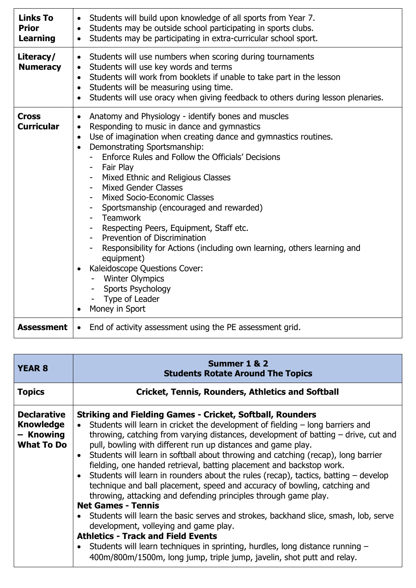| <b>Links To</b><br><b>Prior</b><br><b>Learning</b> | Students will build upon knowledge of all sports from Year 7.<br>$\bullet$<br>Students may be outside school participating in sports clubs.<br>$\bullet$<br>Students may be participating in extra-curricular school sport.<br>$\bullet$                                                                                                                                                                                                                                                                                                                                                                                                                                                                                                                                 |
|----------------------------------------------------|--------------------------------------------------------------------------------------------------------------------------------------------------------------------------------------------------------------------------------------------------------------------------------------------------------------------------------------------------------------------------------------------------------------------------------------------------------------------------------------------------------------------------------------------------------------------------------------------------------------------------------------------------------------------------------------------------------------------------------------------------------------------------|
| Literacy/<br><b>Numeracy</b>                       | Students will use numbers when scoring during tournaments<br>$\bullet$<br>Students will use key words and terms<br>$\bullet$<br>Students will work from booklets if unable to take part in the lesson<br>$\bullet$<br>Students will be measuring using time.<br>$\bullet$<br>Students will use oracy when giving feedback to others during lesson plenaries.<br>$\bullet$                                                                                                                                                                                                                                                                                                                                                                                                |
| <b>Cross</b><br><b>Curricular</b>                  | Anatomy and Physiology - identify bones and muscles<br>$\bullet$<br>Responding to music in dance and gymnastics<br>$\bullet$<br>Use of imagination when creating dance and gymnastics routines.<br>$\bullet$<br>Demonstrating Sportsmanship:<br>$\bullet$<br>Enforce Rules and Follow the Officials' Decisions<br>Fair Play<br>Mixed Ethnic and Religious Classes<br>Mixed Gender Classes<br>Mixed Socio-Economic Classes<br>Sportsmanship (encouraged and rewarded)<br>Teamwork<br>Respecting Peers, Equipment, Staff etc.<br>Prevention of Discrimination<br>Responsibility for Actions (including own learning, others learning and<br>equipment)<br>Kaleidoscope Questions Cover:<br><b>Winter Olympics</b><br>Sports Psychology<br>Type of Leader<br>Money in Sport |
| <b>Assessment</b>                                  | End of activity assessment using the PE assessment grid.<br>$\bullet$                                                                                                                                                                                                                                                                                                                                                                                                                                                                                                                                                                                                                                                                                                    |

| <b>YEAR 8</b>                                                            | Summer 1 & 2<br><b>Students Rotate Around The Topics</b>                                                                                                                                                                                                                                                                                                                                                                                                                                                                                                                                                                                                                                                                                                                                                                                                                                                                                                                                                                                                                                                                     |
|--------------------------------------------------------------------------|------------------------------------------------------------------------------------------------------------------------------------------------------------------------------------------------------------------------------------------------------------------------------------------------------------------------------------------------------------------------------------------------------------------------------------------------------------------------------------------------------------------------------------------------------------------------------------------------------------------------------------------------------------------------------------------------------------------------------------------------------------------------------------------------------------------------------------------------------------------------------------------------------------------------------------------------------------------------------------------------------------------------------------------------------------------------------------------------------------------------------|
| <b>Topics</b>                                                            | <b>Cricket, Tennis, Rounders, Athletics and Softball</b>                                                                                                                                                                                                                                                                                                                                                                                                                                                                                                                                                                                                                                                                                                                                                                                                                                                                                                                                                                                                                                                                     |
| <b>Declarative</b><br><b>Knowledge</b><br>– Knowing<br><b>What To Do</b> | <b>Striking and Fielding Games - Cricket, Softball, Rounders</b><br>Students will learn in cricket the development of fielding – long barriers and<br>throwing, catching from varying distances, development of batting $-$ drive, cut and<br>pull, bowling with different run up distances and game play.<br>Students will learn in softball about throwing and catching (recap), long barrier<br>$\bullet$<br>fielding, one handed retrieval, batting placement and backstop work.<br>Students will learn in rounders about the rules (recap), tactics, batting $-$ develop<br>$\bullet$<br>technique and ball placement, speed and accuracy of bowling, catching and<br>throwing, attacking and defending principles through game play.<br><b>Net Games - Tennis</b><br>Students will learn the basic serves and strokes, backhand slice, smash, lob, serve<br>development, volleying and game play.<br><b>Athletics - Track and Field Events</b><br>Students will learn techniques in sprinting, hurdles, long distance running -<br>$\bullet$<br>400m/800m/1500m, long jump, triple jump, javelin, shot putt and relay. |